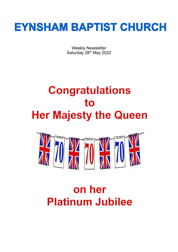

Weekly Newsletter Saturday 28<sup>th</sup> May 2022

# **Congratulations** to **Her Majesty the Queen**



# on her **Platinum Jubilee**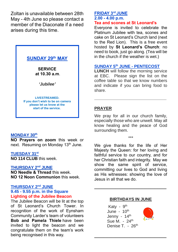Zoltan is unavailable between 28th May - 4th June so please contact a member of the Diaconate if a need arises during this time.



**LIVESTREAMED. If you don't wish to be on camera please let us know at the start of the service.**

#### **MONDAY 30 th**

**NO Prayers on zoom** this week or next. Resuming on Monday 13<sup>th</sup> June.

#### **TUESDAY 31st**

**NO 114 CLUB** this week.

#### **THURSDAY 2nd JUNE**

**NO Needle & Thread** this week. **NO 12 Noon Communion** this week.

#### **THURSDAY 2nd JUNE 9.45 - 9.55 p.m. in the Square Lighting of the Jubilee Beacon**

The Jubilee Beacon will be lit at the top of St Leonard's Church Tower. In recognition of the work of Eynsham Community Larder's team of volunteers **Bob and Pamela Thiele** have been invited to light the beacon and we congratulate them on the team's work being recognised in this way.

#### **FRIDAY 3rd JUNE 2.00 - 4.00 p.m. Tea and scones at St Leonard's**

Everyone is invited to celebrate the Platinum Jubilee with tea, scones and cake on St Leonard's Church land (next to the Red Lion). This is a free event hosted by **St Leonard's Church**: no need to book, just go along. (Tea will be in the church if the weather is wet.)

#### **SUNDAY 5th JUNE - PENTECOST**

**LUNCH** will follow the morning service at EBC. Please sign the list on the coffee table so that we know numbers and indicate if you can bring food to share.

**\_\_\_\_\_\_\_\_\_\_\_\_\_\_\_\_\_\_\_\_\_\_\_\_\_\_\_\_\_\_\_**

## **PRAYER**

We pray for all in our church family, especially those who are unwell. May all know healing and the peace of God surrounding them.

\*\*\*

We give thanks for the life of Her Majesty the Queen: for her loving and faithful service to our country, and for her Christian faith and integrity. May we show the same spirit of service, committing our lives to God and living as His witnesses: showing the love of Jesus in all that we do.

#### **BIRTHDAYS IN JUNE**

**\_\_\_\_\_\_\_\_\_\_\_\_\_\_\_\_\_\_\_\_\_\_\_\_\_\_\_\_\_\_\_**

**\_\_\_\_\_\_\_\_\_\_\_\_\_\_\_\_\_\_\_\_\_\_\_\_\_\_\_\_\_\_\_**

Katy - 9<sup>th</sup> June -  $10<sup>th</sup>$ Jenny - 14<sup>th</sup> Sue M. -  $24<sup>th</sup>$ Denise T - 26<sup>th</sup>

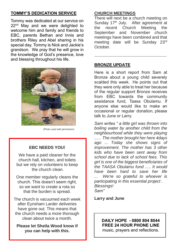# **TOMMY'S DEDICATION SERVICE**

Tommy was dedicated at our service on 22<sup>nd</sup> May and we were delighted to welcome him and family and friends to EBC, parents Bethan and Innis and brothers Riley and Abel sharing in his special day. Tommy is Nick and Jackie's grandson. We pray that he will grow in the knowledge of God's presence, love and blessing throughout his life.



(Photo used with permission)

## **EBC NEEDS YOU!**

We have a paid cleaner for the church hall, kitchen, and toilets but we rely on volunteers to keep the church clean.

One member regularly cleans the church. This doesn't seem right, so we want to create a rota so that the burden is spread.

The church is vacuumed each week after Eynsham Larder deliveries have gone out. This means that the church needs a more thorough clean about twice a month.

**Please let Sheila Wood know if you can help with this.**

#### **CHURCH MEETINGS**

There will next be a church meeting on Sunday 17<sup>th</sup> July. After agreement at the recent Church Meeting the September and November church meetings have been combined and that meeting date will be Sunday 23rd October.

**\_\_\_\_\_\_\_\_\_\_\_\_\_\_\_\_\_\_\_\_\_\_\_\_\_\_\_\_\_\_\_**

## **BRONZE UPDATE**

Here is a short report from Sam at Bronze about a young child severely scalded this week. He points out that they were only able to treat her because of the regular support Bronze receives from EBC towards the community assistance fund, Taasa Obulamu. If anyone else would like to make an occasional or regular donation, please talk to June or Larry.

*Sam writes " a little girl was thrown into boiling water by another child from the neighbourhood while they were playing ...... The mother brought her here 4days ago ... Today she shows signs of improvement. The mother has 3 other kids who have been sent away from school due to lack of school fees. This girl is one of the biggest beneficiaries of the TAASA Obulamu fund ..... It would have been hard to save her life ... We're so grateful to whoever is participating in this essential project . Blessings! Sam"*

**Larry and June**

#### **DAILY HOPE - 0800 804 8044 FREE 24 HOUR PHONE LINE**  music, prayers and reflections.